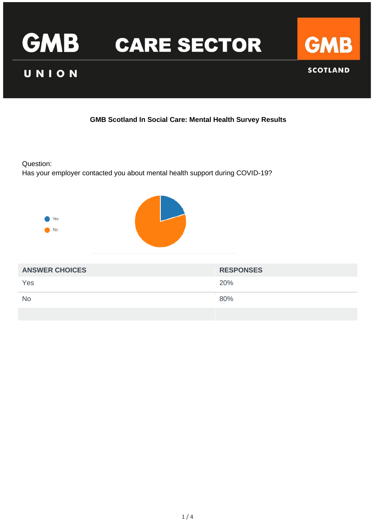

# UNION



**SCOTLAND** 

# **GMB Scotland In Social Care: Mental Health Survey Results**

Question:

Has your employer contacted you about mental health support during COVID-19?

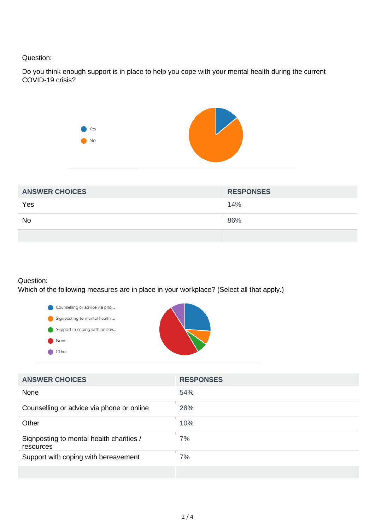#### Question:

Do you think enough support is in place to help you cope with your mental health during the current COVID-19 crisis?



| <b>ANSWER CHOICES</b> | <b>RESPONSES</b> |
|-----------------------|------------------|
| Yes                   | 14%              |
| <b>No</b>             | 86%              |
|                       |                  |

#### Question:

Which of the following measures are in place in your workplace? (Select all that apply.)



| <b>ANSWER CHOICES</b>                                 | <b>RESPONSES</b> |
|-------------------------------------------------------|------------------|
| None                                                  | 54%              |
| Counselling or advice via phone or online             | 28%              |
| Other                                                 | 10%              |
| Signposting to mental health charities /<br>resources | 7%               |
| Support with coping with bereavement                  | 7%               |
|                                                       |                  |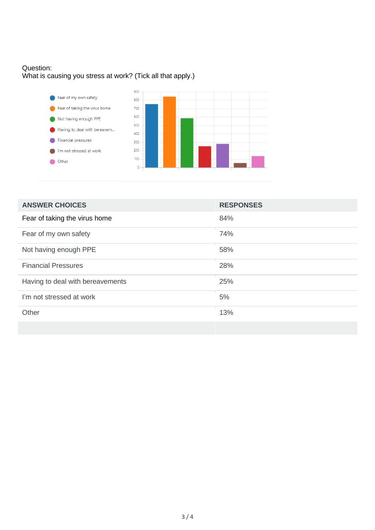# Question: What is causing you stress at work? (Tick all that apply.)



| <b>ANSWER CHOICES</b>            | <b>RESPONSES</b> |
|----------------------------------|------------------|
| Fear of taking the virus home    | 84%              |
| Fear of my own safety            | 74%              |
| Not having enough PPE            | 58%              |
| <b>Financial Pressures</b>       | 28%              |
| Having to deal with bereavements | 25%              |
| I'm not stressed at work         | 5%               |
| Other                            | 13%              |
|                                  |                  |